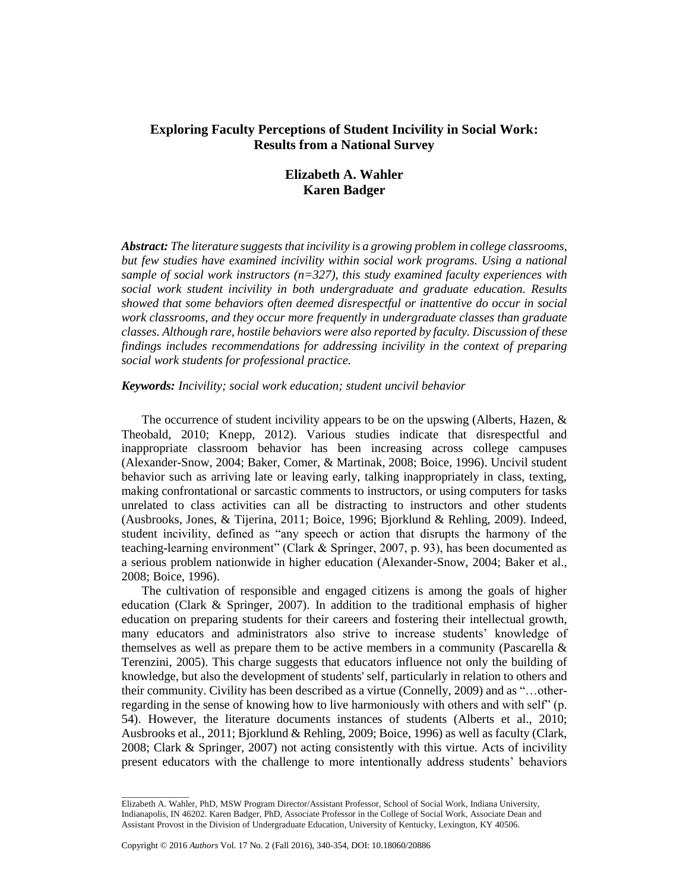# **Exploring Faculty Perceptions of Student Incivility in Social Work: Results from a National Survey**

# **Elizabeth A. Wahler Karen Badger**

*Abstract: The literature suggests that incivility is a growing problem in college classrooms, but few studies have examined incivility within social work programs. Using a national sample of social work instructors (n=327), this study examined faculty experiences with social work student incivility in both undergraduate and graduate education. Results showed that some behaviors often deemed disrespectful or inattentive do occur in social work classrooms, and they occur more frequently in undergraduate classes than graduate classes. Although rare, hostile behaviors were also reported by faculty. Discussion of these findings includes recommendations for addressing incivility in the context of preparing social work students for professional practice.*

## *Keywords: Incivility; social work education; student uncivil behavior*

The occurrence of student incivility appears to be on the upswing (Alberts, Hazen, & Theobald, 2010; Knepp, 2012). Various studies indicate that disrespectful and inappropriate classroom behavior has been increasing across college campuses (Alexander-Snow, 2004; Baker, Comer, & Martinak, 2008; Boice, 1996). Uncivil student behavior such as arriving late or leaving early, talking inappropriately in class, texting, making confrontational or sarcastic comments to instructors, or using computers for tasks unrelated to class activities can all be distracting to instructors and other students (Ausbrooks, Jones, & Tijerina, 2011; Boice, 1996; Bjorklund & Rehling, 2009). Indeed, student incivility, defined as "any speech or action that disrupts the harmony of the teaching-learning environment" (Clark & Springer, 2007, p. 93), has been documented as a serious problem nationwide in higher education (Alexander-Snow, 2004; Baker et al., 2008; Boice, 1996).

The cultivation of responsible and engaged citizens is among the goals of higher education (Clark & Springer, 2007). In addition to the traditional emphasis of higher education on preparing students for their careers and fostering their intellectual growth, many educators and administrators also strive to increase students' knowledge of themselves as well as prepare them to be active members in a community (Pascarella  $\&$ Terenzini, 2005). This charge suggests that educators influence not only the building of knowledge, but also the development of students' self, particularly in relation to others and their community. Civility has been described as a virtue (Connelly, 2009) and as "…otherregarding in the sense of knowing how to live harmoniously with others and with self" (p. 54). However, the literature documents instances of students (Alberts et al., 2010; Ausbrooks et al., 2011; Bjorklund & Rehling, 2009; Boice, 1996) as well as faculty (Clark, 2008; Clark & Springer, 2007) not acting consistently with this virtue. Acts of incivility present educators with the challenge to more intentionally address students' behaviors

\_\_\_\_\_\_\_\_\_\_\_\_\_\_\_

Elizabeth A. Wahler, PhD, MSW Program Director/Assistant Professor, School of Social Work, Indiana University, Indianapolis, IN 46202. Karen Badger, PhD, Associate Professor in the College of Social Work, Associate Dean and Assistant Provost in the Division of Undergraduate Education, University of Kentucky, Lexington, KY 40506.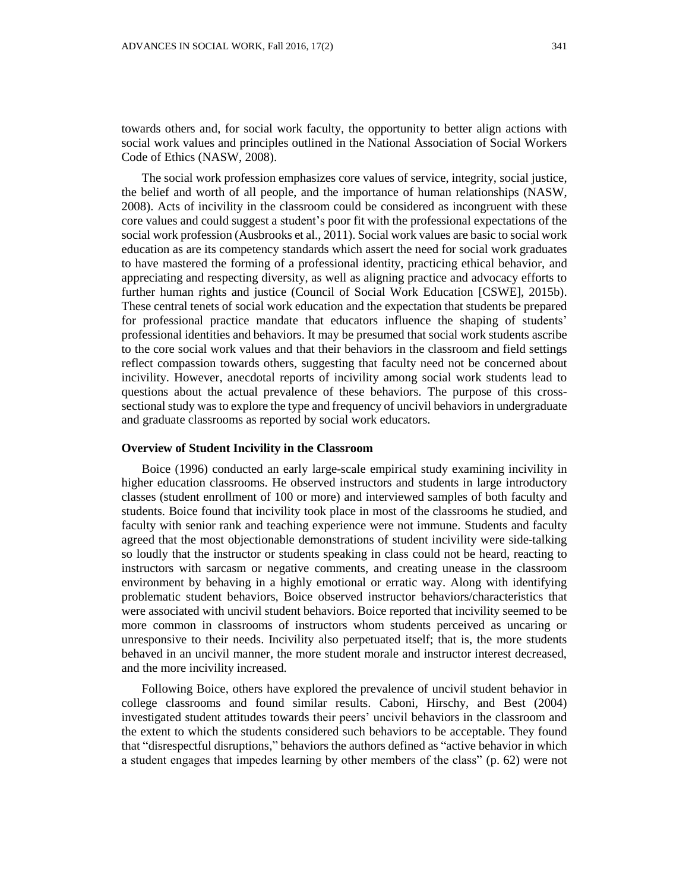towards others and, for social work faculty, the opportunity to better align actions with social work values and principles outlined in the National Association of Social Workers Code of Ethics (NASW, 2008).

The social work profession emphasizes core values of service, integrity, social justice, the belief and worth of all people, and the importance of human relationships (NASW, 2008). Acts of incivility in the classroom could be considered as incongruent with these core values and could suggest a student's poor fit with the professional expectations of the social work profession (Ausbrooks et al., 2011). Social work values are basic to social work education as are its competency standards which assert the need for social work graduates to have mastered the forming of a professional identity, practicing ethical behavior, and appreciating and respecting diversity, as well as aligning practice and advocacy efforts to further human rights and justice (Council of Social Work Education [CSWE], 2015b). These central tenets of social work education and the expectation that students be prepared for professional practice mandate that educators influence the shaping of students' professional identities and behaviors. It may be presumed that social work students ascribe to the core social work values and that their behaviors in the classroom and field settings reflect compassion towards others, suggesting that faculty need not be concerned about incivility. However, anecdotal reports of incivility among social work students lead to questions about the actual prevalence of these behaviors. The purpose of this crosssectional study was to explore the type and frequency of uncivil behaviors in undergraduate and graduate classrooms as reported by social work educators.

### **Overview of Student Incivility in the Classroom**

Boice (1996) conducted an early large-scale empirical study examining incivility in higher education classrooms. He observed instructors and students in large introductory classes (student enrollment of 100 or more) and interviewed samples of both faculty and students. Boice found that incivility took place in most of the classrooms he studied, and faculty with senior rank and teaching experience were not immune. Students and faculty agreed that the most objectionable demonstrations of student incivility were side-talking so loudly that the instructor or students speaking in class could not be heard, reacting to instructors with sarcasm or negative comments, and creating unease in the classroom environment by behaving in a highly emotional or erratic way. Along with identifying problematic student behaviors, Boice observed instructor behaviors/characteristics that were associated with uncivil student behaviors. Boice reported that incivility seemed to be more common in classrooms of instructors whom students perceived as uncaring or unresponsive to their needs. Incivility also perpetuated itself; that is, the more students behaved in an uncivil manner, the more student morale and instructor interest decreased, and the more incivility increased.

Following Boice, others have explored the prevalence of uncivil student behavior in college classrooms and found similar results. Caboni, Hirschy, and Best (2004) investigated student attitudes towards their peers' uncivil behaviors in the classroom and the extent to which the students considered such behaviors to be acceptable. They found that "disrespectful disruptions," behaviors the authors defined as "active behavior in which a student engages that impedes learning by other members of the class" (p. 62) were not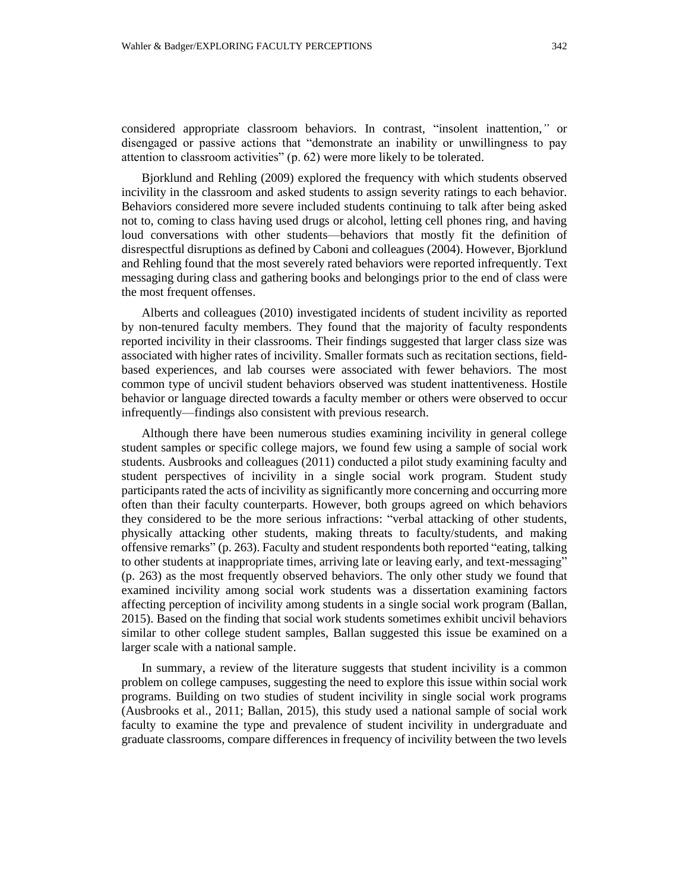considered appropriate classroom behaviors. In contrast, "insolent inattention,*"* or disengaged or passive actions that "demonstrate an inability or unwillingness to pay attention to classroom activities" (p. 62) were more likely to be tolerated.

Bjorklund and Rehling (2009) explored the frequency with which students observed incivility in the classroom and asked students to assign severity ratings to each behavior. Behaviors considered more severe included students continuing to talk after being asked not to, coming to class having used drugs or alcohol, letting cell phones ring, and having loud conversations with other students—behaviors that mostly fit the definition of disrespectful disruptions as defined by Caboni and colleagues (2004). However, Bjorklund and Rehling found that the most severely rated behaviors were reported infrequently. Text messaging during class and gathering books and belongings prior to the end of class were the most frequent offenses.

Alberts and colleagues (2010) investigated incidents of student incivility as reported by non-tenured faculty members. They found that the majority of faculty respondents reported incivility in their classrooms. Their findings suggested that larger class size was associated with higher rates of incivility. Smaller formats such as recitation sections, fieldbased experiences, and lab courses were associated with fewer behaviors. The most common type of uncivil student behaviors observed was student inattentiveness. Hostile behavior or language directed towards a faculty member or others were observed to occur infrequently—findings also consistent with previous research.

Although there have been numerous studies examining incivility in general college student samples or specific college majors, we found few using a sample of social work students. Ausbrooks and colleagues (2011) conducted a pilot study examining faculty and student perspectives of incivility in a single social work program. Student study participants rated the acts of incivility as significantly more concerning and occurring more often than their faculty counterparts. However, both groups agreed on which behaviors they considered to be the more serious infractions: "verbal attacking of other students, physically attacking other students, making threats to faculty/students, and making offensive remarks" (p. 263). Faculty and student respondents both reported "eating, talking to other students at inappropriate times, arriving late or leaving early, and text-messaging" (p. 263) as the most frequently observed behaviors. The only other study we found that examined incivility among social work students was a dissertation examining factors affecting perception of incivility among students in a single social work program (Ballan, 2015). Based on the finding that social work students sometimes exhibit uncivil behaviors similar to other college student samples, Ballan suggested this issue be examined on a larger scale with a national sample.

In summary, a review of the literature suggests that student incivility is a common problem on college campuses, suggesting the need to explore this issue within social work programs. Building on two studies of student incivility in single social work programs (Ausbrooks et al., 2011; Ballan, 2015), this study used a national sample of social work faculty to examine the type and prevalence of student incivility in undergraduate and graduate classrooms, compare differences in frequency of incivility between the two levels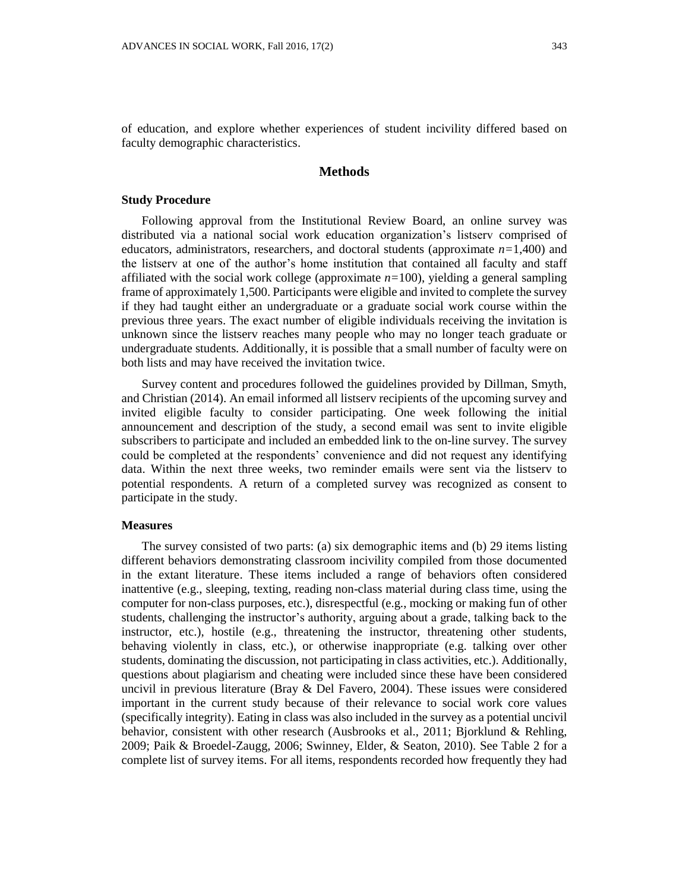of education, and explore whether experiences of student incivility differed based on faculty demographic characteristics.

#### **Methods**

#### **Study Procedure**

Following approval from the Institutional Review Board, an online survey was distributed via a national social work education organization's listserv comprised of educators, administrators, researchers, and doctoral students (approximate  $n=1,400$ ) and the listserv at one of the author's home institution that contained all faculty and staff affiliated with the social work college (approximate *n=*100), yielding a general sampling frame of approximately 1,500. Participants were eligible and invited to complete the survey if they had taught either an undergraduate or a graduate social work course within the previous three years. The exact number of eligible individuals receiving the invitation is unknown since the listserv reaches many people who may no longer teach graduate or undergraduate students. Additionally, it is possible that a small number of faculty were on both lists and may have received the invitation twice.

Survey content and procedures followed the guidelines provided by Dillman, Smyth, and Christian (2014). An email informed all listserv recipients of the upcoming survey and invited eligible faculty to consider participating. One week following the initial announcement and description of the study, a second email was sent to invite eligible subscribers to participate and included an embedded link to the on-line survey. The survey could be completed at the respondents' convenience and did not request any identifying data. Within the next three weeks, two reminder emails were sent via the listserv to potential respondents. A return of a completed survey was recognized as consent to participate in the study.

## **Measures**

The survey consisted of two parts: (a) six demographic items and (b) 29 items listing different behaviors demonstrating classroom incivility compiled from those documented in the extant literature. These items included a range of behaviors often considered inattentive (e.g., sleeping, texting, reading non-class material during class time, using the computer for non-class purposes, etc.), disrespectful (e.g., mocking or making fun of other students, challenging the instructor's authority, arguing about a grade, talking back to the instructor, etc.), hostile (e.g., threatening the instructor, threatening other students, behaving violently in class, etc.), or otherwise inappropriate (e.g. talking over other students, dominating the discussion, not participating in class activities, etc.). Additionally, questions about plagiarism and cheating were included since these have been considered uncivil in previous literature (Bray  $&$  Del Favero, 2004). These issues were considered important in the current study because of their relevance to social work core values (specifically integrity). Eating in class was also included in the survey as a potential uncivil behavior, consistent with other research (Ausbrooks et al., 2011; Bjorklund & Rehling, 2009; Paik & Broedel-Zaugg, 2006; Swinney, Elder, & Seaton, 2010). See Table 2 for a complete list of survey items. For all items, respondents recorded how frequently they had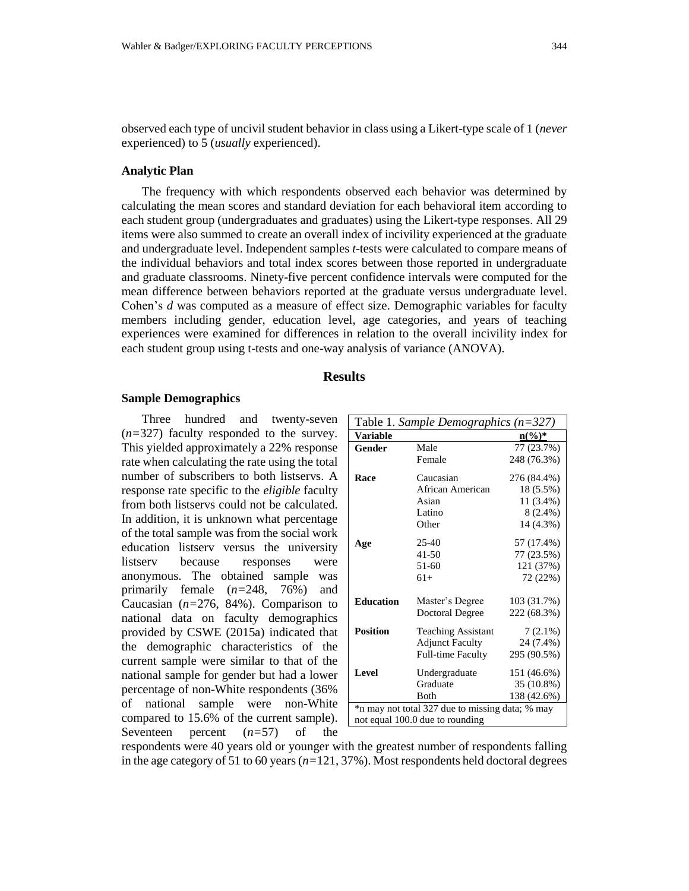observed each type of uncivil student behavior in class using a Likert-type scale of 1 (*never* experienced) to 5 (*usually* experienced).

#### **Analytic Plan**

The frequency with which respondents observed each behavior was determined by calculating the mean scores and standard deviation for each behavioral item according to each student group (undergraduates and graduates) using the Likert-type responses. All 29 items were also summed to create an overall index of incivility experienced at the graduate and undergraduate level. Independent samples *t*-tests were calculated to compare means of the individual behaviors and total index scores between those reported in undergraduate and graduate classrooms. Ninety-five percent confidence intervals were computed for the mean difference between behaviors reported at the graduate versus undergraduate level. Cohen's *d* was computed as a measure of effect size. Demographic variables for faculty members including gender, education level, age categories, and years of teaching experiences were examined for differences in relation to the overall incivility index for each student group using t-tests and one-way analysis of variance (ANOVA).

# **Results**

#### **Sample Demographics**

Three hundred and twenty-seven (*n=*327) faculty responded to the survey. This yielded approximately a 22% response rate when calculating the rate using the total number of subscribers to both listservs. A response rate specific to the *eligible* faculty from both listservs could not be calculated. In addition, it is unknown what percentage of the total sample was from the social work education listserv versus the university listserv because responses were anonymous. The obtained sample was primarily female (*n=*248, 76%) and Caucasian (*n=*276, 84%). Comparison to national data on faculty demographics provided by CSWE (2015a) indicated that the demographic characteristics of the current sample were similar to that of the national sample for gender but had a lower percentage of non-White respondents (36% of national sample were non-White compared to 15.6% of the current sample). Seventeen percent (*n=*57) of the

| Table 1. Sample Demographics $(n=327)$          |                           |                   |  |  |  |  |
|-------------------------------------------------|---------------------------|-------------------|--|--|--|--|
| <b>Variable</b>                                 |                           | $n\binom{0}{0}^*$ |  |  |  |  |
| Gender                                          | Male                      | 77 (23.7%)        |  |  |  |  |
|                                                 | Female                    | 248 (76.3%)       |  |  |  |  |
| Race                                            | Caucasian                 | 276 (84.4%)       |  |  |  |  |
|                                                 | African American          | 18 (5.5%)         |  |  |  |  |
|                                                 | Asian                     | 11 (3.4%)         |  |  |  |  |
|                                                 | Latino                    | $8(2.4\%)$        |  |  |  |  |
|                                                 | Other                     | 14 (4.3%)         |  |  |  |  |
| Age                                             | $25-40$                   | 57 (17.4%)        |  |  |  |  |
|                                                 | $41 - 50$                 | 77 (23.5%)        |  |  |  |  |
|                                                 | $51 - 60$                 | 121 (37%)         |  |  |  |  |
|                                                 | $61+$                     | 72 (22%)          |  |  |  |  |
| <b>Education</b>                                | Master's Degree           | 103 (31.7%)       |  |  |  |  |
|                                                 | Doctoral Degree           | 222 (68.3%)       |  |  |  |  |
| <b>Position</b>                                 | <b>Teaching Assistant</b> | $7(2.1\%)$        |  |  |  |  |
|                                                 | <b>Adjunct Faculty</b>    | 24 (7.4%)         |  |  |  |  |
|                                                 | <b>Full-time Faculty</b>  | 295 (90.5%)       |  |  |  |  |
| <b>Level</b>                                    | Undergraduate             | 151 (46.6%)       |  |  |  |  |
|                                                 | Graduate                  | 35 (10.8%)        |  |  |  |  |
|                                                 | <b>B</b> oth              | 138 (42.6%)       |  |  |  |  |
| *n may not total 327 due to missing data; % may |                           |                   |  |  |  |  |
| not equal 100.0 due to rounding                 |                           |                   |  |  |  |  |

respondents were 40 years old or younger with the greatest number of respondents falling in the age category of 51 to 60 years (*n=*121, 37%). Most respondents held doctoral degrees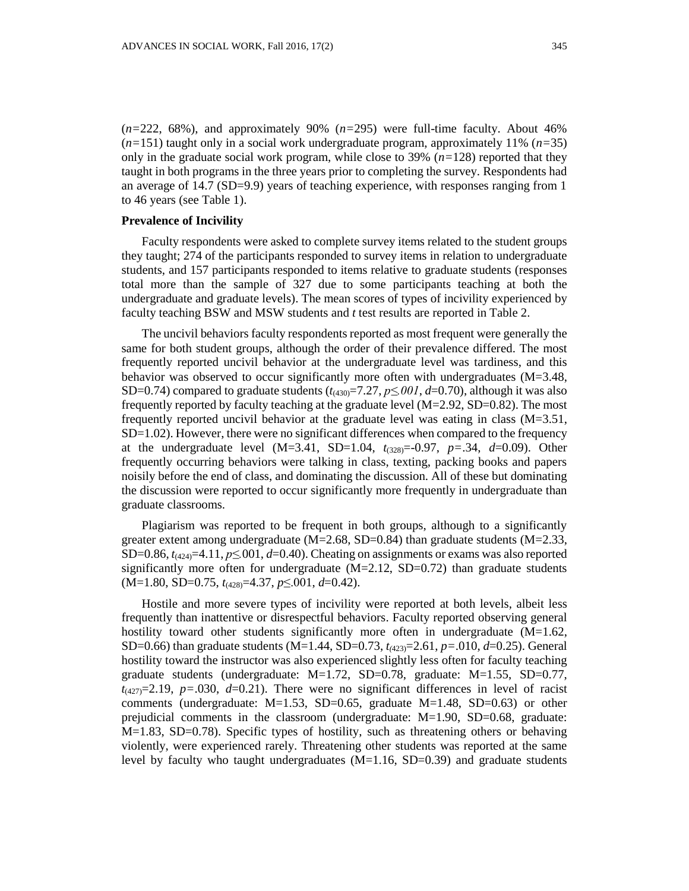(*n=*222, 68%), and approximately 90% (*n=*295) were full-time faculty. About 46% (*n=*151) taught only in a social work undergraduate program, approximately 11% (*n=*35) only in the graduate social work program, while close to 39%  $(n=128)$  reported that they taught in both programs in the three years prior to completing the survey. Respondents had an average of 14.7 (SD=9.9) years of teaching experience, with responses ranging from 1 to 46 years (see Table 1).

# **Prevalence of Incivility**

Faculty respondents were asked to complete survey items related to the student groups they taught; 274 of the participants responded to survey items in relation to undergraduate students, and 157 participants responded to items relative to graduate students (responses total more than the sample of 327 due to some participants teaching at both the undergraduate and graduate levels). The mean scores of types of incivility experienced by faculty teaching BSW and MSW students and *t* test results are reported in Table 2.

The uncivil behaviors faculty respondents reported as most frequent were generally the same for both student groups, although the order of their prevalence differed. The most frequently reported uncivil behavior at the undergraduate level was tardiness, and this behavior was observed to occur significantly more often with undergraduates (M=3.48, SD=0.74) compared to graduate students  $(t_{(430)}=7.27, p\leq 0.01, d=0.70)$ , although it was also frequently reported by faculty teaching at the graduate level (M=2.92, SD=0.82). The most frequently reported uncivil behavior at the graduate level was eating in class (M=3.51, SD=1.02). However, there were no significant differences when compared to the frequency at the undergraduate level  $(M=3.41, SD=1.04, t_{(328)}=-0.97, p=.34, d=0.09)$ . Other frequently occurring behaviors were talking in class, texting, packing books and papers noisily before the end of class, and dominating the discussion. All of these but dominating the discussion were reported to occur significantly more frequently in undergraduate than graduate classrooms.

Plagiarism was reported to be frequent in both groups, although to a significantly greater extent among undergraduate  $(M=2.68, SD=0.84)$  than graduate students  $(M=2.33,$ SD=0.86,  $t_{(424)}$ =4.11,  $p \le 001$ ,  $d=0.40$ ). Cheating on assignments or exams was also reported significantly more often for undergraduate  $(M=2.12, SD=0.72)$  than graduate students (M=1.80, SD=0.75, *t*(428)=4.37, *p*≤.001, *d*=0.42).

Hostile and more severe types of incivility were reported at both levels, albeit less frequently than inattentive or disrespectful behaviors. Faculty reported observing general hostility toward other students significantly more often in undergraduate  $(M=1.62)$ , SD=0.66) than graduate students (M=1.44, SD=0.73, *t(*423)=2.61, *p=*.010, *d*=0.25). General hostility toward the instructor was also experienced slightly less often for faculty teaching graduate students (undergraduate: M=1.72, SD=0.78, graduate: M=1.55, SD=0.77,  $t_{(427)}=2.19$ ,  $p=.030$ ,  $d=.021$ ). There were no significant differences in level of racist comments (undergraduate:  $M=1.53$ , SD=0.65, graduate  $M=1.48$ , SD=0.63) or other prejudicial comments in the classroom (undergraduate: M=1.90, SD=0.68, graduate: M=1.83, SD=0.78). Specific types of hostility, such as threatening others or behaving violently, were experienced rarely. Threatening other students was reported at the same level by faculty who taught undergraduates  $(M=1.16, SD=0.39)$  and graduate students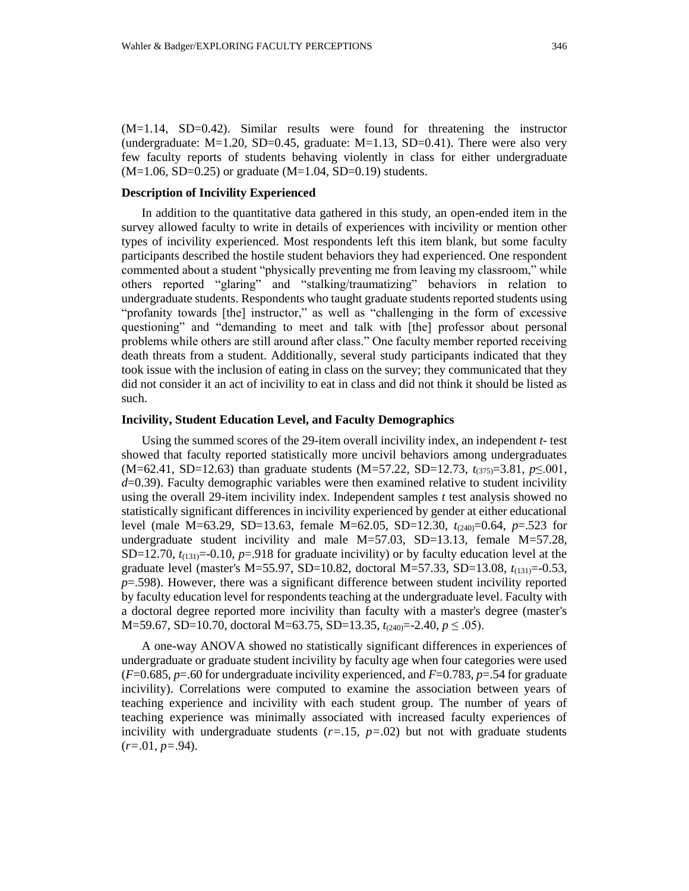(M=1.14, SD=0.42). Similar results were found for threatening the instructor (undergraduate:  $M=1.20$ , SD=0.45, graduate:  $M=1.13$ , SD=0.41). There were also very few faculty reports of students behaving violently in class for either undergraduate  $(M=1.06, SD=0.25)$  or graduate  $(M=1.04, SD=0.19)$  students.

## **Description of Incivility Experienced**

In addition to the quantitative data gathered in this study, an open-ended item in the survey allowed faculty to write in details of experiences with incivility or mention other types of incivility experienced. Most respondents left this item blank, but some faculty participants described the hostile student behaviors they had experienced. One respondent commented about a student "physically preventing me from leaving my classroom," while others reported "glaring" and "stalking/traumatizing" behaviors in relation to undergraduate students. Respondents who taught graduate students reported students using "profanity towards [the] instructor," as well as "challenging in the form of excessive questioning" and "demanding to meet and talk with [the] professor about personal problems while others are still around after class." One faculty member reported receiving death threats from a student. Additionally, several study participants indicated that they took issue with the inclusion of eating in class on the survey; they communicated that they did not consider it an act of incivility to eat in class and did not think it should be listed as such.

## **Incivility, Student Education Level, and Faculty Demographics**

Using the summed scores of the 29-item overall incivility index, an independent *t-* test showed that faculty reported statistically more uncivil behaviors among undergraduates (M=62.41, SD=12.63) than graduate students (M=57.22, SD=12.73, *t*(375)=3.81, *p*≤.001, *d*=0.39). Faculty demographic variables were then examined relative to student incivility using the overall 29-item incivility index. Independent samples *t* test analysis showed no statistically significant differences in incivility experienced by gender at either educational level (male M=63.29, SD=13.63, female M=62.05, SD=12.30, *t*(240)=0.64, *p*=.523 for undergraduate student incivility and male  $M=57.03$ , SD=13.13, female  $M=57.28$ , SD=12.70,  $t_{(131)}$ =-0.10,  $p=0.918$  for graduate incivility) or by faculty education level at the graduate level (master's M=55.97, SD=10.82, doctoral M=57.33, SD=13.08, *t*(131)=-0.53, *p*=.598). However, there was a significant difference between student incivility reported by faculty education level for respondents teaching at the undergraduate level. Faculty with a doctoral degree reported more incivility than faculty with a master's degree (master's M=59.67, SD=10.70, doctoral M=63.75, SD=13.35, *t*(240)=-2.40, *p* ≤ .05).

A one-way ANOVA showed no statistically significant differences in experiences of undergraduate or graduate student incivility by faculty age when four categories were used  $(F=0.685, p=.60$  for undergraduate incivility experienced, and  $F=0.783, p=.54$  for graduate incivility). Correlations were computed to examine the association between years of teaching experience and incivility with each student group. The number of years of teaching experience was minimally associated with increased faculty experiences of incivility with undergraduate students  $(r=1.15, p=0.02)$  but not with graduate students (*r=*.01, *p=*.94).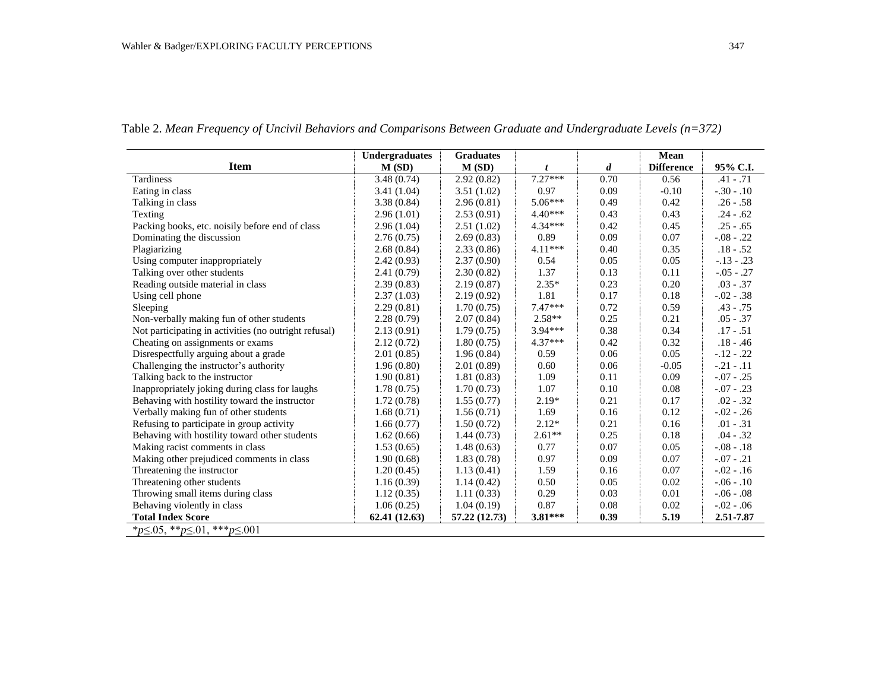|                                                       | <b>Undergraduates</b> | <b>Graduates</b> |           |                  | <b>Mean</b>       |                |  |
|-------------------------------------------------------|-----------------------|------------------|-----------|------------------|-------------------|----------------|--|
| <b>Item</b>                                           | M(SD)                 | M(SD)            | t         | $\boldsymbol{d}$ | <b>Difference</b> | 95% C.I.       |  |
| Tardiness                                             | 3.48(0.74)            | 2.92(0.82)       | $7.27***$ | 0.70             | 0.56              | $.41-.71$      |  |
| Eating in class                                       | 3.41(1.04)            | 3.51(1.02)       | 0.97      | 0.09             | $-0.10$           | $-.30-.10$     |  |
| Talking in class                                      | 3.38(0.84)            | 2.96(0.81)       | $5.06***$ | 0.49             | 0.42              | $.26 - .58$    |  |
| Texting                                               | 2.96(1.01)            | 2.53(0.91)       | $4.40***$ | 0.43             | 0.43              | $.24 - .62$    |  |
| Packing books, etc. noisily before end of class       | 2.96(1.04)            | 2.51(1.02)       | $4.34***$ | 0.42             | 0.45              | $.25 - .65$    |  |
| Dominating the discussion                             | 2.76(0.75)            | 2.69(0.83)       | 0.89      | 0.09             | 0.07              | $-.08-.22$     |  |
| Plagiarizing                                          | 2.68(0.84)            | 2.33(0.86)       | $4.11***$ | 0.40             | 0.35              | $.18 - .52$    |  |
| Using computer inappropriately                        | 2.42(0.93)            | 2.37(0.90)       | 0.54      | 0.05             | 0.05              | $-.13-.23$     |  |
| Talking over other students                           | 2.41(0.79)            | 2.30(0.82)       | 1.37      | 0.13             | 0.11              | $-0.05 - 0.27$ |  |
| Reading outside material in class                     | 2.39(0.83)            | 2.19(0.87)       | $2.35*$   | 0.23             | 0.20              | $.03 - .37$    |  |
| Using cell phone                                      | 2.37(1.03)            | 2.19(0.92)       | 1.81      | 0.17             | 0.18              | $-.02-.38$     |  |
| Sleeping                                              | 2.29(0.81)            | 1.70(0.75)       | $7.47***$ | 0.72             | 0.59              | $.43 - .75$    |  |
| Non-verbally making fun of other students             | 2.28(0.79)            | 2.07(0.84)       | 2.58**    | 0.25             | 0.21              | $.05 - .37$    |  |
| Not participating in activities (no outright refusal) | 2.13(0.91)            | 1.79(0.75)       | $3.94***$ | 0.38             | 0.34              | $.17 - .51$    |  |
| Cheating on assignments or exams                      | 2.12(0.72)            | 1.80(0.75)       | $4.37***$ | 0.42             | 0.32              | $.18 - .46$    |  |
| Disrespectfully arguing about a grade                 | 2.01(0.85)            | 1.96(0.84)       | 0.59      | 0.06             | 0.05              | $-.12-.22$     |  |
| Challenging the instructor's authority                | 1.96(0.80)            | 2.01(0.89)       | 0.60      | 0.06             | $-0.05$           | $-.21-.11$     |  |
| Talking back to the instructor                        | 1.90(0.81)            | 1.81(0.83)       | 1.09      | 0.11             | 0.09              | $-.07-.25$     |  |
| Inappropriately joking during class for laughs        | 1.78(0.75)            | 1.70(0.73)       | 1.07      | 0.10             | 0.08              | $-.07-.23$     |  |
| Behaving with hostility toward the instructor         | 1.72(0.78)            | 1.55(0.77)       | $2.19*$   | 0.21             | 0.17              | $.02 - .32$    |  |
| Verbally making fun of other students                 | 1.68(0.71)            | 1.56(0.71)       | 1.69      | 0.16             | 0.12              | $-0.02 - 0.26$ |  |
| Refusing to participate in group activity             | 1.66(0.77)            | 1.50(0.72)       | $2.12*$   | 0.21             | 0.16              | $.01 - .31$    |  |
| Behaving with hostility toward other students         | 1.62(0.66)            | 1.44(0.73)       | $2.61**$  | 0.25             | 0.18              | $.04 - .32$    |  |
| Making racist comments in class                       | 1.53(0.65)            | 1.48(0.63)       | 0.77      | 0.07             | 0.05              | $-.08-.18$     |  |
| Making other prejudiced comments in class             | 1.90(0.68)            | 1.83(0.78)       | 0.97      | 0.09             | 0.07              | $-.07-.21$     |  |
| Threatening the instructor                            | 1.20(0.45)            | 1.13(0.41)       | 1.59      | 0.16             | 0.07              | $-0.02 - 0.16$ |  |
| Threatening other students                            | 1.16(0.39)            | 1.14(0.42)       | 0.50      | 0.05             | 0.02              | $-.06-.10$     |  |
| Throwing small items during class                     | 1.12(0.35)            | 1.11(0.33)       | 0.29      | 0.03             | 0.01              | $-0.06 - 0.08$ |  |
| Behaving violently in class                           | 1.06(0.25)            | 1.04(0.19)       | 0.87      | 0.08             | 0.02              | $-0.02 - 0.06$ |  |
| <b>Total Index Score</b>                              | 62.41(12.63)          | 57.22 (12.73)    | $3.81***$ | 0.39             | 5.19              | 2.51-7.87      |  |
| * $p \le 0.05,$ ** $p \le 0.01,$ *** $p \le 0.001$    |                       |                  |           |                  |                   |                |  |

Table 2. *Mean Frequency of Uncivil Behaviors and Comparisons Between Graduate and Undergraduate Levels (n=372)*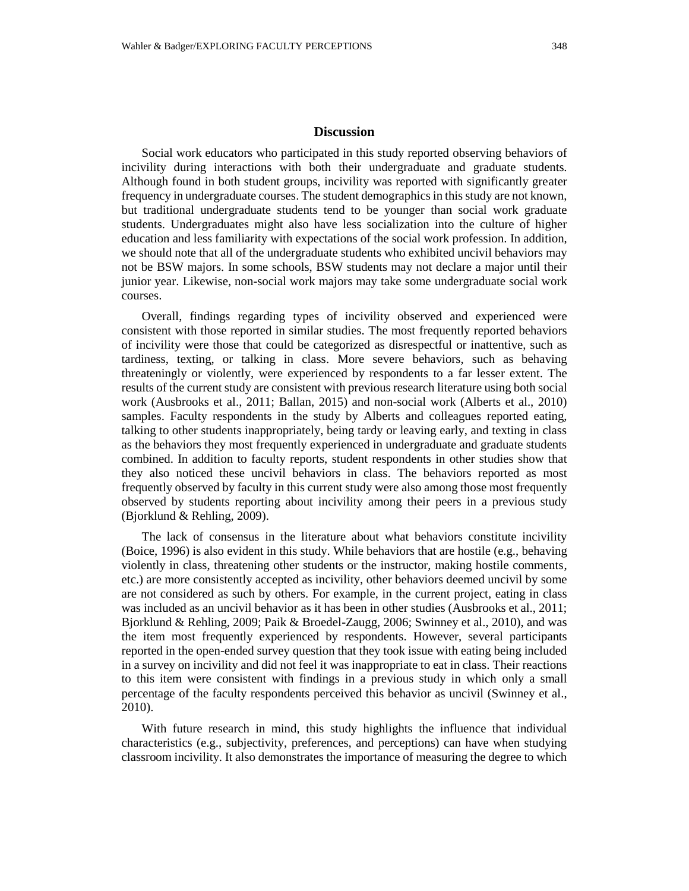# **Discussion**

Social work educators who participated in this study reported observing behaviors of incivility during interactions with both their undergraduate and graduate students. Although found in both student groups, incivility was reported with significantly greater frequency in undergraduate courses. The student demographics in this study are not known, but traditional undergraduate students tend to be younger than social work graduate students. Undergraduates might also have less socialization into the culture of higher education and less familiarity with expectations of the social work profession. In addition, we should note that all of the undergraduate students who exhibited uncivil behaviors may not be BSW majors. In some schools, BSW students may not declare a major until their junior year. Likewise, non-social work majors may take some undergraduate social work courses.

Overall, findings regarding types of incivility observed and experienced were consistent with those reported in similar studies. The most frequently reported behaviors of incivility were those that could be categorized as disrespectful or inattentive, such as tardiness, texting, or talking in class. More severe behaviors, such as behaving threateningly or violently, were experienced by respondents to a far lesser extent. The results of the current study are consistent with previous research literature using both social work (Ausbrooks et al., 2011; Ballan, 2015) and non-social work (Alberts et al., 2010) samples. Faculty respondents in the study by Alberts and colleagues reported eating, talking to other students inappropriately, being tardy or leaving early, and texting in class as the behaviors they most frequently experienced in undergraduate and graduate students combined. In addition to faculty reports, student respondents in other studies show that they also noticed these uncivil behaviors in class. The behaviors reported as most frequently observed by faculty in this current study were also among those most frequently observed by students reporting about incivility among their peers in a previous study (Bjorklund & Rehling, 2009).

The lack of consensus in the literature about what behaviors constitute incivility (Boice, 1996) is also evident in this study. While behaviors that are hostile (e.g., behaving violently in class, threatening other students or the instructor, making hostile comments, etc.) are more consistently accepted as incivility, other behaviors deemed uncivil by some are not considered as such by others. For example, in the current project, eating in class was included as an uncivil behavior as it has been in other studies (Ausbrooks et al., 2011; Bjorklund & Rehling, 2009; Paik & Broedel-Zaugg, 2006; Swinney et al., 2010), and was the item most frequently experienced by respondents. However, several participants reported in the open-ended survey question that they took issue with eating being included in a survey on incivility and did not feel it was inappropriate to eat in class. Their reactions to this item were consistent with findings in a previous study in which only a small percentage of the faculty respondents perceived this behavior as uncivil (Swinney et al., 2010).

With future research in mind, this study highlights the influence that individual characteristics (e.g., subjectivity, preferences, and perceptions) can have when studying classroom incivility. It also demonstrates the importance of measuring the degree to which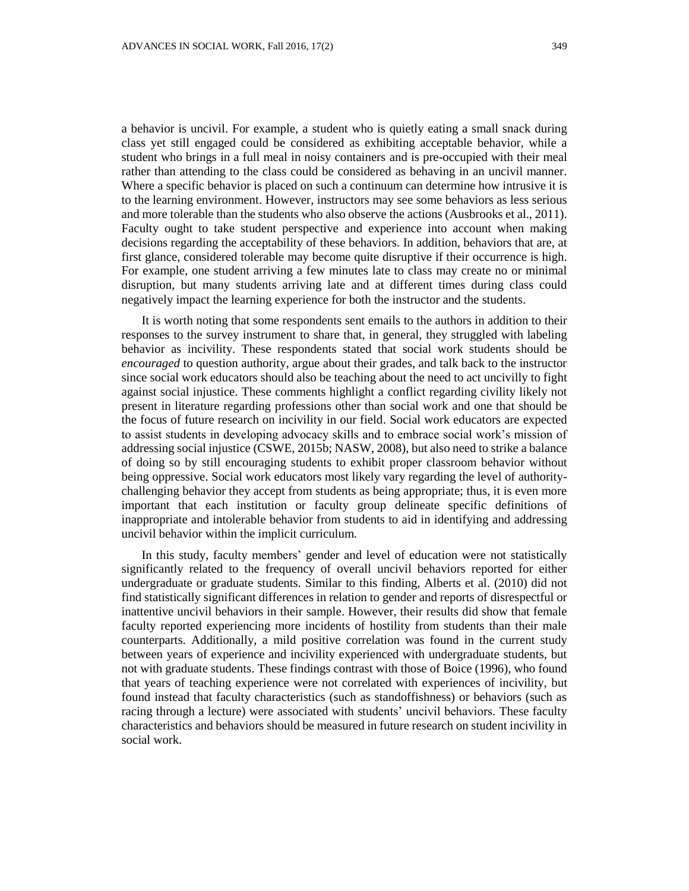a behavior is uncivil. For example, a student who is quietly eating a small snack during class yet still engaged could be considered as exhibiting acceptable behavior, while a student who brings in a full meal in noisy containers and is pre-occupied with their meal rather than attending to the class could be considered as behaving in an uncivil manner. Where a specific behavior is placed on such a continuum can determine how intrusive it is to the learning environment. However, instructors may see some behaviors as less serious and more tolerable than the students who also observe the actions (Ausbrooks et al., 2011). Faculty ought to take student perspective and experience into account when making decisions regarding the acceptability of these behaviors. In addition, behaviors that are, at first glance, considered tolerable may become quite disruptive if their occurrence is high. For example, one student arriving a few minutes late to class may create no or minimal disruption, but many students arriving late and at different times during class could negatively impact the learning experience for both the instructor and the students.

It is worth noting that some respondents sent emails to the authors in addition to their responses to the survey instrument to share that, in general, they struggled with labeling behavior as incivility. These respondents stated that social work students should be *encouraged* to question authority, argue about their grades, and talk back to the instructor since social work educators should also be teaching about the need to act uncivilly to fight against social injustice. These comments highlight a conflict regarding civility likely not present in literature regarding professions other than social work and one that should be the focus of future research on incivility in our field. Social work educators are expected to assist students in developing advocacy skills and to embrace social work's mission of addressing social injustice (CSWE, 2015b; NASW, 2008), but also need to strike a balance of doing so by still encouraging students to exhibit proper classroom behavior without being oppressive. Social work educators most likely vary regarding the level of authoritychallenging behavior they accept from students as being appropriate; thus, it is even more important that each institution or faculty group delineate specific definitions of inappropriate and intolerable behavior from students to aid in identifying and addressing uncivil behavior within the implicit curriculum.

In this study, faculty members' gender and level of education were not statistically significantly related to the frequency of overall uncivil behaviors reported for either undergraduate or graduate students. Similar to this finding, Alberts et al. (2010) did not find statistically significant differences in relation to gender and reports of disrespectful or inattentive uncivil behaviors in their sample. However, their results did show that female faculty reported experiencing more incidents of hostility from students than their male counterparts. Additionally, a mild positive correlation was found in the current study between years of experience and incivility experienced with undergraduate students, but not with graduate students. These findings contrast with those of Boice (1996), who found that years of teaching experience were not correlated with experiences of incivility, but found instead that faculty characteristics (such as standoffishness) or behaviors (such as racing through a lecture) were associated with students' uncivil behaviors. These faculty characteristics and behaviors should be measured in future research on student incivility in social work.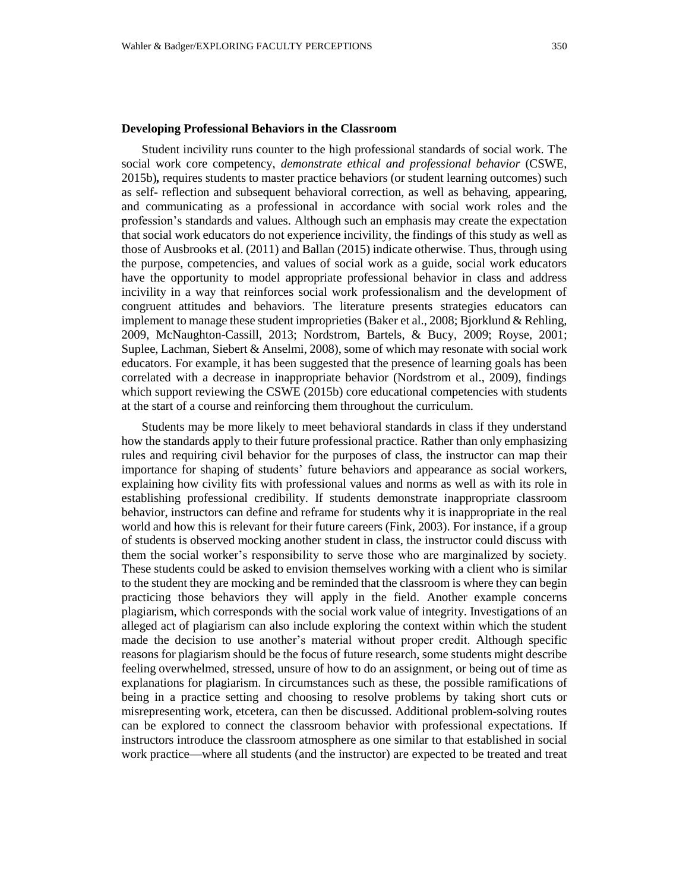### **Developing Professional Behaviors in the Classroom**

Student incivility runs counter to the high professional standards of social work. The social work core competency, *demonstrate ethical and professional behavior* (CSWE, 2015b)*,* requires students to master practice behaviors (or student learning outcomes) such as self- reflection and subsequent behavioral correction, as well as behaving, appearing, and communicating as a professional in accordance with social work roles and the profession's standards and values. Although such an emphasis may create the expectation that social work educators do not experience incivility, the findings of this study as well as those of Ausbrooks et al. (2011) and Ballan (2015) indicate otherwise. Thus, through using the purpose, competencies, and values of social work as a guide, social work educators have the opportunity to model appropriate professional behavior in class and address incivility in a way that reinforces social work professionalism and the development of congruent attitudes and behaviors. The literature presents strategies educators can implement to manage these student improprieties (Baker et al., 2008; Bjorklund & Rehling, 2009, McNaughton-Cassill, 2013; Nordstrom, Bartels, & Bucy, 2009; Royse, 2001; Suplee, Lachman, Siebert & Anselmi, 2008), some of which may resonate with social work educators. For example, it has been suggested that the presence of learning goals has been correlated with a decrease in inappropriate behavior (Nordstrom et al., 2009), findings which support reviewing the CSWE (2015b) core educational competencies with students at the start of a course and reinforcing them throughout the curriculum.

Students may be more likely to meet behavioral standards in class if they understand how the standards apply to their future professional practice. Rather than only emphasizing rules and requiring civil behavior for the purposes of class, the instructor can map their importance for shaping of students' future behaviors and appearance as social workers, explaining how civility fits with professional values and norms as well as with its role in establishing professional credibility. If students demonstrate inappropriate classroom behavior, instructors can define and reframe for students why it is inappropriate in the real world and how this is relevant for their future careers (Fink, 2003). For instance, if a group of students is observed mocking another student in class, the instructor could discuss with them the social worker's responsibility to serve those who are marginalized by society. These students could be asked to envision themselves working with a client who is similar to the student they are mocking and be reminded that the classroom is where they can begin practicing those behaviors they will apply in the field. Another example concerns plagiarism, which corresponds with the social work value of integrity. Investigations of an alleged act of plagiarism can also include exploring the context within which the student made the decision to use another's material without proper credit. Although specific reasons for plagiarism should be the focus of future research, some students might describe feeling overwhelmed, stressed, unsure of how to do an assignment, or being out of time as explanations for plagiarism. In circumstances such as these, the possible ramifications of being in a practice setting and choosing to resolve problems by taking short cuts or misrepresenting work, etcetera, can then be discussed. Additional problem-solving routes can be explored to connect the classroom behavior with professional expectations. If instructors introduce the classroom atmosphere as one similar to that established in social work practice—where all students (and the instructor) are expected to be treated and treat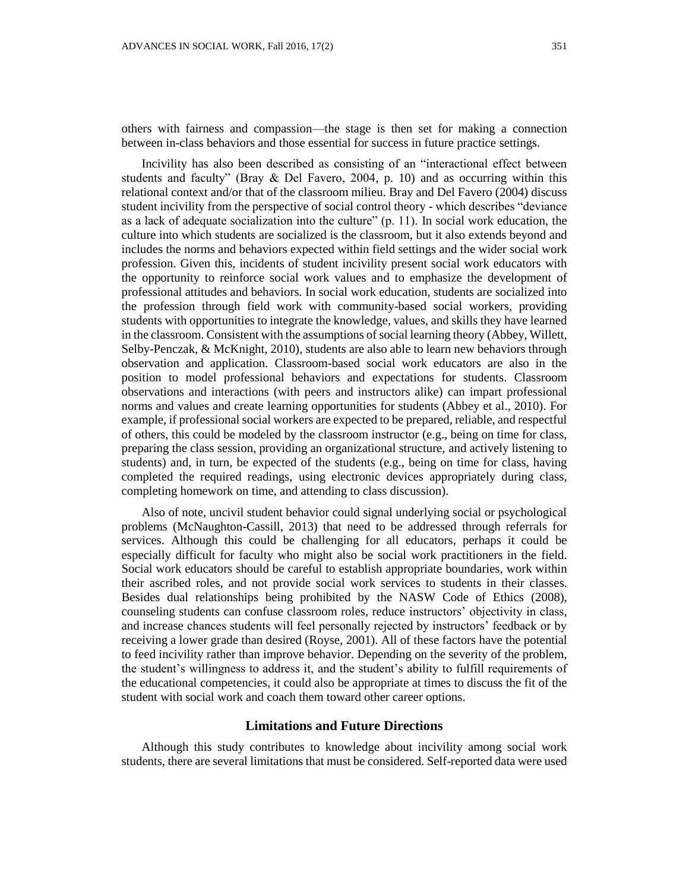others with fairness and compassion—the stage is then set for making a connection between in-class behaviors and those essential for success in future practice settings.

Incivility has also been described as consisting of an "interactional effect between students and faculty" (Bray  $\&$  Del Favero, 2004, p. 10) and as occurring within this relational context and/or that of the classroom milieu. Bray and Del Favero (2004) discuss student incivility from the perspective of social control theory - which describes "deviance as a lack of adequate socialization into the culture" (p. 11). In social work education, the culture into which students are socialized is the classroom, but it also extends beyond and includes the norms and behaviors expected within field settings and the wider social work profession. Given this, incidents of student incivility present social work educators with the opportunity to reinforce social work values and to emphasize the development of professional attitudes and behaviors. In social work education, students are socialized into the profession through field work with community-based social workers, providing students with opportunities to integrate the knowledge, values, and skills they have learned in the classroom. Consistent with the assumptions of social learning theory (Abbey, Willett, Selby-Penczak, & McKnight, 2010), students are also able to learn new behaviors through observation and application. Classroom-based social work educators are also in the position to model professional behaviors and expectations for students. Classroom observations and interactions (with peers and instructors alike) can impart professional norms and values and create learning opportunities for students (Abbey et al., 2010). For example, if professional social workers are expected to be prepared, reliable, and respectful of others, this could be modeled by the classroom instructor (e.g., being on time for class, preparing the class session, providing an organizational structure, and actively listening to students) and, in turn, be expected of the students (e.g., being on time for class, having completed the required readings, using electronic devices appropriately during class, completing homework on time, and attending to class discussion).

Also of note, uncivil student behavior could signal underlying social or psychological problems (McNaughton-Cassill, 2013) that need to be addressed through referrals for services. Although this could be challenging for all educators, perhaps it could be especially difficult for faculty who might also be social work practitioners in the field. Social work educators should be careful to establish appropriate boundaries, work within their ascribed roles, and not provide social work services to students in their classes. Besides dual relationships being prohibited by the NASW Code of Ethics (2008), counseling students can confuse classroom roles, reduce instructors' objectivity in class, and increase chances students will feel personally rejected by instructors' feedback or by receiving a lower grade than desired (Royse, 2001). All of these factors have the potential to feed incivility rather than improve behavior. Depending on the severity of the problem, the student's willingness to address it, and the student's ability to fulfill requirements of the educational competencies, it could also be appropriate at times to discuss the fit of the student with social work and coach them toward other career options.

# **Limitations and Future Directions**

Although this study contributes to knowledge about incivility among social work students, there are several limitations that must be considered. Self-reported data were used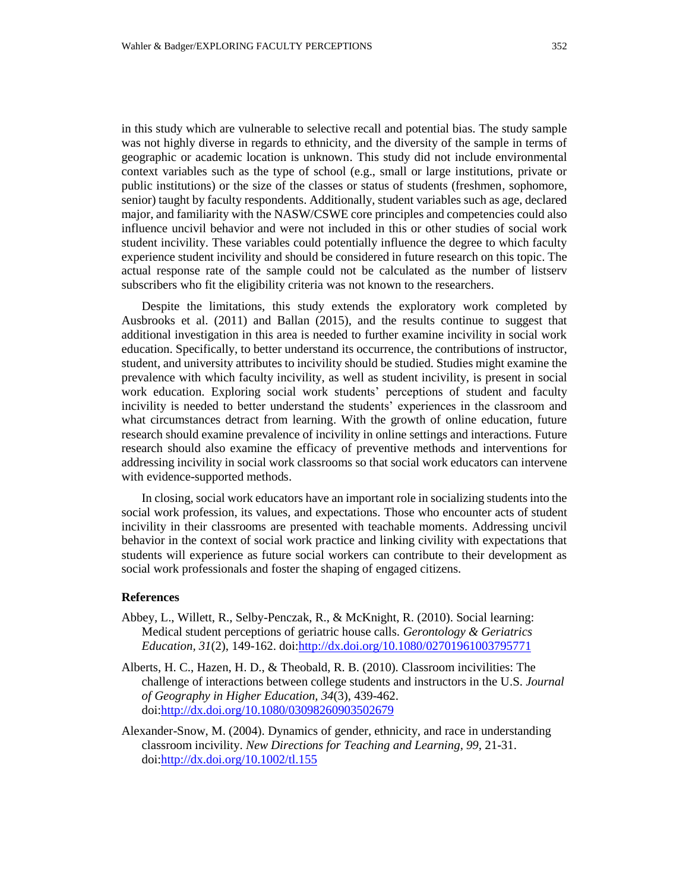in this study which are vulnerable to selective recall and potential bias. The study sample was not highly diverse in regards to ethnicity, and the diversity of the sample in terms of geographic or academic location is unknown. This study did not include environmental context variables such as the type of school (e.g., small or large institutions, private or public institutions) or the size of the classes or status of students (freshmen, sophomore, senior) taught by faculty respondents. Additionally, student variables such as age, declared major, and familiarity with the NASW/CSWE core principles and competencies could also influence uncivil behavior and were not included in this or other studies of social work student incivility. These variables could potentially influence the degree to which faculty experience student incivility and should be considered in future research on this topic. The actual response rate of the sample could not be calculated as the number of listserv subscribers who fit the eligibility criteria was not known to the researchers.

Despite the limitations, this study extends the exploratory work completed by Ausbrooks et al. (2011) and Ballan (2015), and the results continue to suggest that additional investigation in this area is needed to further examine incivility in social work education. Specifically, to better understand its occurrence, the contributions of instructor, student, and university attributes to incivility should be studied. Studies might examine the prevalence with which faculty incivility, as well as student incivility, is present in social work education. Exploring social work students' perceptions of student and faculty incivility is needed to better understand the students' experiences in the classroom and what circumstances detract from learning. With the growth of online education, future research should examine prevalence of incivility in online settings and interactions. Future research should also examine the efficacy of preventive methods and interventions for addressing incivility in social work classrooms so that social work educators can intervene with evidence-supported methods.

In closing, social work educators have an important role in socializing students into the social work profession, its values, and expectations. Those who encounter acts of student incivility in their classrooms are presented with teachable moments. Addressing uncivil behavior in the context of social work practice and linking civility with expectations that students will experience as future social workers can contribute to their development as social work professionals and foster the shaping of engaged citizens.

## **References**

- Abbey, L., Willett, R., Selby-Penczak, R., & McKnight, R. (2010). Social learning: Medical student perceptions of geriatric house calls. *Gerontology & Geriatrics Education, 31*(2), 149-162. doi[:http://dx.doi.org/10.1080/02701961003795771](http://dx.doi.org/10.1080/02701961003795771)
- Alberts, H. C., Hazen, H. D., & Theobald, R. B. (2010). Classroom incivilities: The challenge of interactions between college students and instructors in the U.S. *Journal of Geography in Higher Education, 34*(3), 439-462. doi[:http://dx.doi.org/10.1080/03098260903502679](http://dx.doi.org/10.1080/03098260903502679)
- Alexander-Snow, M. (2004). Dynamics of gender, ethnicity, and race in understanding classroom incivility. *New Directions for Teaching and Learning, 99,* 21-31. doi[:http://dx.doi.org/10.1002/tl.155](http://dx.doi.org/10.1002/tl.155)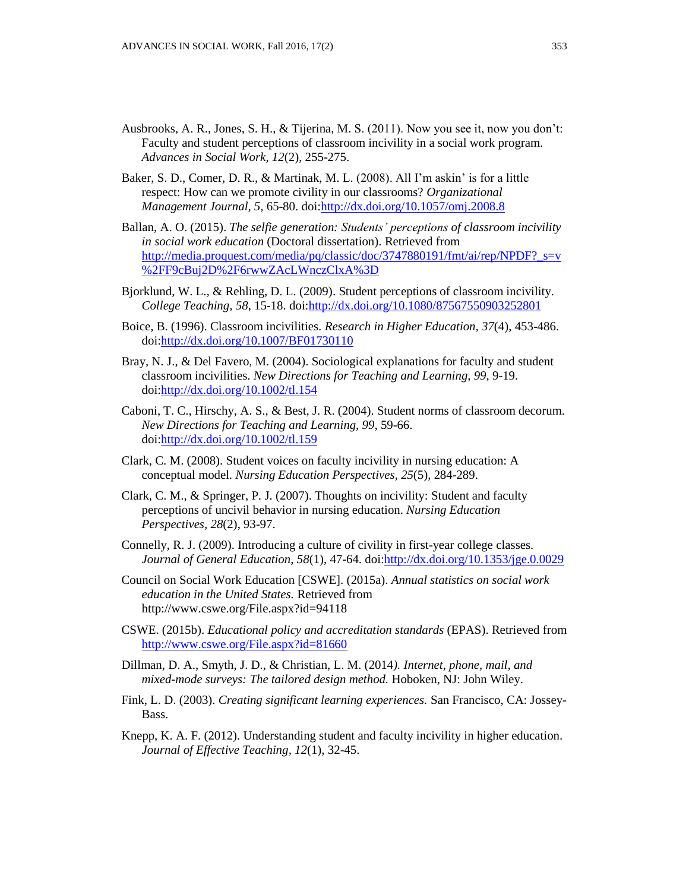- Ausbrooks, A. R., Jones, S. H., & Tijerina, M. S. (2011). Now you see it, now you don't: Faculty and student perceptions of classroom incivility in a social work program. *Advances in Social Work, 12*(2), 255-275.
- Baker, S. D., Comer, D. R., & Martinak, M. L. (2008). All I'm askin' is for a little respect: How can we promote civility in our classrooms? *Organizational Management Journal, 5,* 65-80. doi[:http://dx.doi.org/10.1057/omj.2008.8](http://dx.doi.org/10.1057/omj.2008.8)
- Ballan, A. O. (2015). *The selfie generation: Students' perceptions of classroom incivility in social work education* (Doctoral dissertation). Retrieved from [http://media.proquest.com/media/pq/classic/doc/3747880191/fmt/ai/rep/NPDF?\\_s=v](http://media.proquest.com/media/pq/classic/doc/3747880191/fmt/ai/rep/NPDF?_s=v%2FF9cBuj2D%2F6rwwZAcLWnczClxA%3D) [%2FF9cBuj2D%2F6rwwZAcLWnczClxA%3D](http://media.proquest.com/media/pq/classic/doc/3747880191/fmt/ai/rep/NPDF?_s=v%2FF9cBuj2D%2F6rwwZAcLWnczClxA%3D)
- Bjorklund, W. L., & Rehling, D. L. (2009). Student perceptions of classroom incivility. *College Teaching, 58*, 15-18. doi[:http://dx.doi.org/10.1080/87567550903252801](http://dx.doi.org/10.1080/87567550903252801)
- Boice, B. (1996). Classroom incivilities. *Research in Higher Education, 37*(4), 453-486. doi[:http://dx.doi.org/10.1007/BF01730110](http://dx.doi.org/10.1007/BF01730110)
- Bray, N. J., & Del Favero, M. (2004). Sociological explanations for faculty and student classroom incivilities. *New Directions for Teaching and Learning, 99,* 9-19. doi[:http://dx.doi.org/10.1002/tl.154](http://dx.doi.org/10.1002/tl.154)
- Caboni, T. C., Hirschy, A. S., & Best, J. R. (2004). Student norms of classroom decorum. *New Directions for Teaching and Learning, 99,* 59-66. doi[:http://dx.doi.org/10.1002/tl.159](http://dx.doi.org/10.1002/tl.159)
- Clark, C. M. (2008). Student voices on faculty incivility in nursing education: A conceptual model*. Nursing Education Perspectives, 25*(5), 284-289.
- Clark, C. M., & Springer, P. J. (2007). Thoughts on incivility: Student and faculty perceptions of uncivil behavior in nursing education. *Nursing Education Perspectives, 28*(2), 93-97.
- Connelly, R. J. (2009). Introducing a culture of civility in first-year college classes. *Journal of General Education*, *58*(1), 47-64. doi[:http://dx.doi.org/10.1353/jge.0.0029](http://dx.doi.org/10.1353/jge.0.0029)
- Council on Social Work Education [CSWE]. (2015a). *Annual statistics on social work education in the United States.* Retrieved from http://www.cswe.org/File.aspx?id=94118
- CSWE. (2015b). *Educational policy and accreditation standards* (EPAS). Retrieved from <http://www.cswe.org/File.aspx?id=81660>
- Dillman, D. A., Smyth, J. D., & Christian, L. M. (2014*). Internet, phone, mail, and mixed-mode surveys: The tailored design method.* Hoboken, NJ: John Wiley.
- Fink, L. D. (2003). *Creating significant learning experiences.* San Francisco, CA: Jossey-Bass.
- Knepp, K. A. F. (2012). Understanding student and faculty incivility in higher education. *Journal of Effective Teaching, 12*(1), 32-45.